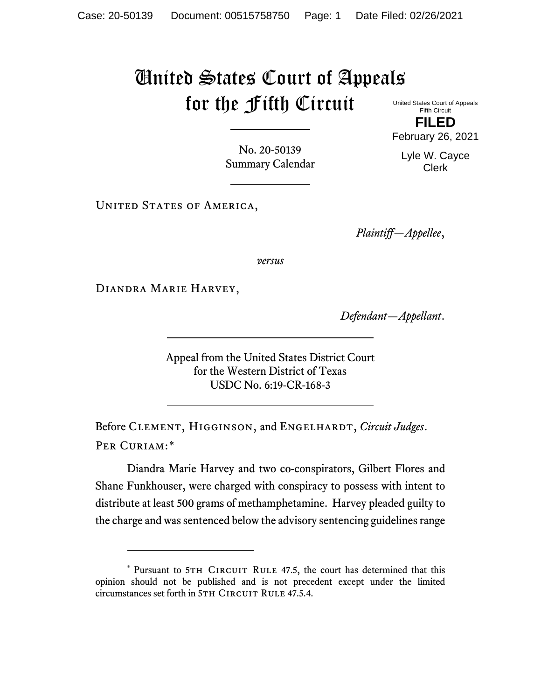## United States Court of Appeals for the Fifth Circuit United States Court of Appeals

Fifth Circuit **FILED**

No. 20-50139 Summary Calendar

UNITED STATES OF AMERICA,

*Plaintiff—Appellee*,

*versus*

Diandra Marie Harvey,

*Defendant—Appellant*.

Appeal from the United States District Court for the Western District of Texas USDC No. 6:19-CR-168-3

Before Clement, Higginson, and Engelhardt, *Circuit Judges*. Per Curiam:[\\*](#page-0-0)

Diandra Marie Harvey and two co-conspirators, Gilbert Flores and Shane Funkhouser, were charged with conspiracy to possess with intent to distribute at least 500 grams of methamphetamine. Harvey pleaded guilty to the charge and was sentenced below the advisory sentencing guidelines range

February 26, 2021 Lyle W. Cayce Clerk

<span id="page-0-0"></span><sup>\*</sup> Pursuant to 5TH CIRCUIT RULE 47.5, the court has determined that this opinion should not be published and is not precedent except under the limited circumstances set forth in 5TH CIRCUIT RULE 47.5.4.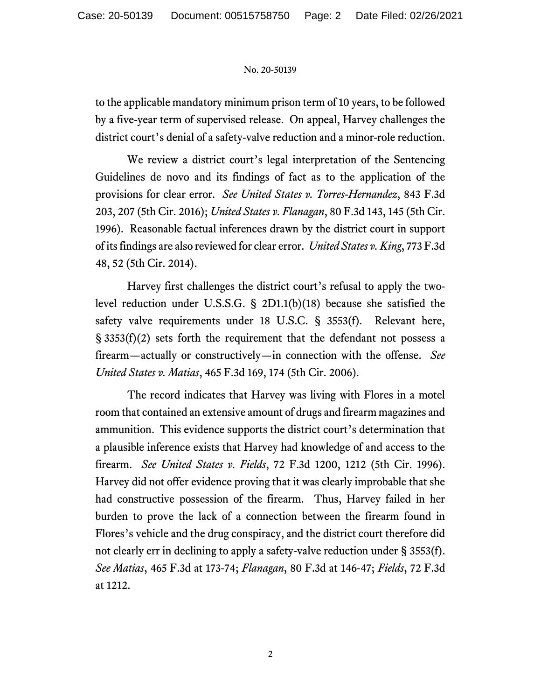## No. 20-50139

to the applicable mandatory minimum prison term of 10 years, to be followed by a five-year term of supervised release. On appeal, Harvey challenges the district court's denial of a safety-valve reduction and a minor-role reduction.

We review a district court's legal interpretation of the Sentencing Guidelines de novo and its findings of fact as to the application of the provisions for clear error. *See United States v. Torres-Hernandez*, 843 F.3d 203, 207 (5th Cir. 2016); *United States v. Flanagan*, 80 F.3d 143, 145 (5th Cir. 1996). Reasonable factual inferences drawn by the district court in support of its findings are also reviewed for clear error. *United States v. King*, 773 F.3d 48, 52 (5th Cir. 2014).

Harvey first challenges the district court's refusal to apply the twolevel reduction under U.S.S.G. § 2D1.1(b)(18) because she satisfied the safety valve requirements under 18 U.S.C. § 3553(f). Relevant here, § 3353(f)(2) sets forth the requirement that the defendant not possess a firearm—actually or constructively—in connection with the offense. *See United States v. Matias*, 465 F.3d 169, 174 (5th Cir. 2006).

The record indicates that Harvey was living with Flores in a motel room that contained an extensive amount of drugs and firearm magazines and ammunition. This evidence supports the district court's determination that a plausible inference exists that Harvey had knowledge of and access to the firearm. *See United States v. Fields*, 72 F.3d 1200, 1212 (5th Cir. 1996). Harvey did not offer evidence proving that it was clearly improbable that she had constructive possession of the firearm. Thus, Harvey failed in her burden to prove the lack of a connection between the firearm found in Flores's vehicle and the drug conspiracy, and the district court therefore did not clearly err in declining to apply a safety-valve reduction under § 3553(f). *See Matias*, 465 F.3d at 173-74; *Flanagan*, 80 F.3d at 146-47; *Fields*, 72 F.3d at 1212.